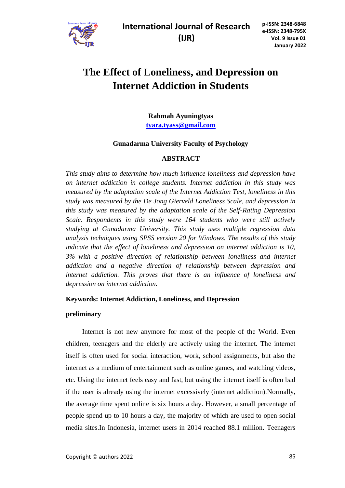

# **The Effect of Loneliness, and Depression on Internet Addiction in Students**

**Rahmah Ayuningtyas [tyara.tyass@gmail.com](mailto:tyara.tyass@gmail.com)**

### **Gunadarma University Faculty of Psychology**

### **ABSTRACT**

*This study aims to determine how much influence loneliness and depression have on internet addiction in college students. Internet addiction in this study was measured by the adaptation scale of the Internet Addiction Test, loneliness in this study was measured by the De Jong Gierveld Loneliness Scale, and depression in this study was measured by the adaptation scale of the Self-Rating Depression Scale. Respondents in this study were 164 students who were still actively studying at Gunadarma University. This study uses multiple regression data analysis techniques using SPSS version 20 for Windows. The results of this study indicate that the effect of loneliness and depression on internet addiction is 10, 3% with a positive direction of relationship between loneliness and internet addiction and a negative direction of relationship between depression and internet addiction. This proves that there is an influence of loneliness and depression on internet addiction.*

#### **Keywords: Internet Addiction, Loneliness, and Depression**

#### **preliminary**

Internet is not new anymore for most of the people of the World. Even children, teenagers and the elderly are actively using the internet. The internet itself is often used for social interaction, work, school assignments, but also the internet as a medium of entertainment such as online games, and watching videos, etc. Using the internet feels easy and fast, but using the internet itself is often bad if the user is already using the internet excessively (internet addiction).Normally, the average time spent online is six hours a day. However, a small percentage of people spend up to 10 hours a day, the majority of which are used to open social media sites.In Indonesia, internet users in 2014 reached 88.1 million. Teenagers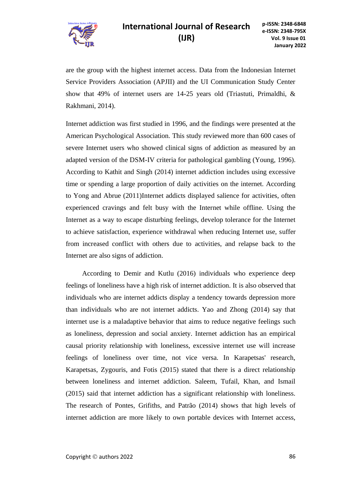

are the group with the highest internet access. Data from the Indonesian Internet Service Providers Association (APJII) and the UI Communication Study Center show that 49% of internet users are 14-25 years old (Triastuti, Primaldhi, & Rakhmani, 2014).

Internet addiction was first studied in 1996, and the findings were presented at the American Psychological Association. This study reviewed more than 600 cases of severe Internet users who showed clinical signs of addiction as measured by an adapted version of the DSM-IV criteria for pathological gambling (Young, 1996). According to Kathit and Singh (2014) internet addiction includes using excessive time or spending a large proportion of daily activities on the internet. According to Yong and Abrue (2011)Internet addicts displayed salience for activities, often experienced cravings and felt busy with the Internet while offline. Using the Internet as a way to escape disturbing feelings, develop tolerance for the Internet to achieve satisfaction, experience withdrawal when reducing Internet use, suffer from increased conflict with others due to activities, and relapse back to the Internet are also signs of addiction.

According to Demir and Kutlu (2016) individuals who experience deep feelings of loneliness have a high risk of internet addiction. It is also observed that individuals who are internet addicts display a tendency towards depression more than individuals who are not internet addicts. Yao and Zhong (2014) say that internet use is a maladaptive behavior that aims to reduce negative feelings such as loneliness, depression and social anxiety. Internet addiction has an empirical causal priority relationship with loneliness, excessive internet use will increase feelings of loneliness over time, not vice versa. In Karapetsas' research, Karapetsas, Zygouris, and Fotis (2015) stated that there is a direct relationship between loneliness and internet addiction. Saleem, Tufail, Khan, and Ismail (2015) said that internet addiction has a significant relationship with loneliness. The research of Pontes, Grifiths, and Patrão (2014) shows that high levels of internet addiction are more likely to own portable devices with Internet access,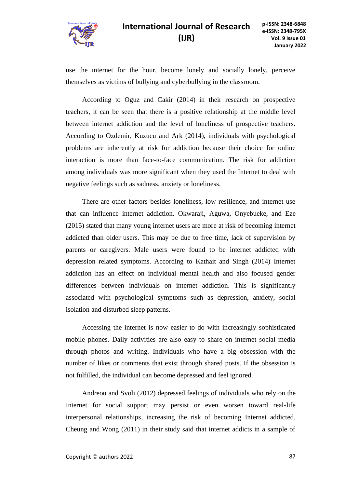

### **International Journal of Research p-ISSN: 2348-6848 (IJR)**

use the internet for the hour, become lonely and socially lonely, perceive themselves as victims of bullying and cyberbullying in the classroom.

According to Oguz and Cakir (2014) in their research on prospective teachers, it can be seen that there is a positive relationship at the middle level between internet addiction and the level of loneliness of prospective teachers. According to Ozdemir, Kuzucu and Ark (2014), individuals with psychological problems are inherently at risk for addiction because their choice for online interaction is more than face-to-face communication. The risk for addiction among individuals was more significant when they used the Internet to deal with negative feelings such as sadness, anxiety or loneliness.

There are other factors besides loneliness, low resilience, and internet use that can influence internet addiction. Okwaraji, Aguwa, Onyebueke, and Eze (2015) stated that many young internet users are more at risk of becoming internet addicted than older users. This may be due to free time, lack of supervision by parents or caregivers. Male users were found to be internet addicted with depression related symptoms. According to Kathait and Singh (2014) Internet addiction has an effect on individual mental health and also focused gender differences between individuals on internet addiction. This is significantly associated with psychological symptoms such as depression, anxiety, social isolation and disturbed sleep patterns.

Accessing the internet is now easier to do with increasingly sophisticated mobile phones. Daily activities are also easy to share on internet social media through photos and writing. Individuals who have a big obsession with the number of likes or comments that exist through shared posts. If the obsession is not fulfilled, the individual can become depressed and feel ignored.

Andreou and Svoli (2012) depressed feelings of individuals who rely on the Internet for social support may persist or even worsen toward real-life interpersonal relationships, increasing the risk of becoming Internet addicted. Cheung and Wong (2011) in their study said that internet addicts in a sample of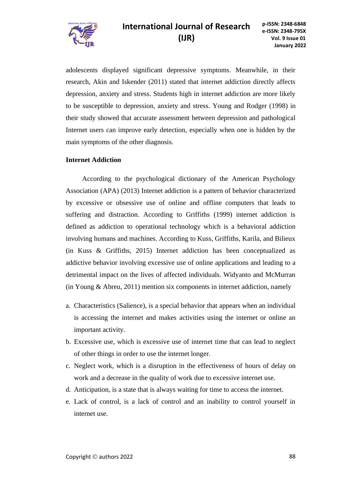

adolescents displayed significant depressive symptoms. Meanwhile, in their research, Akin and Iskender (2011) stated that internet addiction directly affects depression, anxiety and stress. Students high in internet addiction are more likely to be susceptible to depression, anxiety and stress. Young and Rodger (1998) in their study showed that accurate assessment between depression and pathological Internet users can improve early detection, especially when one is hidden by the main symptoms of the other diagnosis.

### **Internet Addiction**

According to the psychological dictionary of the American Psychology Association (APA) (2013) Internet addiction is a pattern of behavior characterized by excessive or obsessive use of online and offline computers that leads to suffering and distraction. According to Griffiths (1999) internet addiction is defined as addiction to operational technology which is a behavioral addiction involving humans and machines. According to Kuss, Griffiths, Karila, and Bilieux (in Kuss & Griffiths, 2015) Internet addiction has been conceptualized as addictive behavior involving excessive use of online applications and leading to a detrimental impact on the lives of affected individuals. Widyanto and McMurran (in Young & Abreu, 2011) mention six components in internet addiction, namely

- a. Characteristics (Salience), is a special behavior that appears when an individual is accessing the internet and makes activities using the internet or online an important activity.
- b. Excessive use, which is excessive use of internet time that can lead to neglect of other things in order to use the internet longer.
- c. Neglect work, which is a disruption in the effectiveness of hours of delay on work and a decrease in the quality of work due to excessive internet use.
- d. Anticipation, is a state that is always waiting for time to access the internet.
- e. Lack of control, is a lack of control and an inability to control yourself in internet use.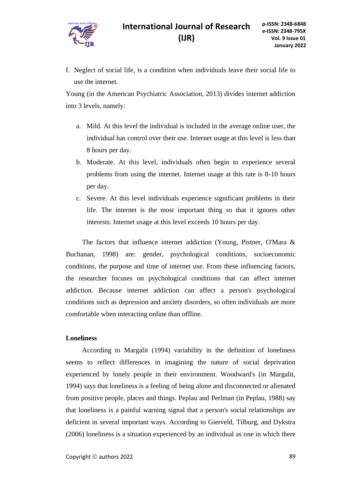f. Neglect of social life, is a condition when individuals leave their social life to use the internet.

Young (in the American Psychiatric Association, 2013) divides internet addiction into 3 levels, namely:

- a. Mild. At this level the individual is included in the average online user, the individual has control over their use. Internet usage at this level is less than 8 hours per day.
- b. Moderate. At this level, individuals often begin to experience several problems from using the internet. Internet usage at this rate is 8-10 hours per day.
- c. Severe. At this level individuals experience significant problems in their life. The internet is the most important thing so that it ignores other interests. Internet usage at this level exceeds 10 hours per day.

The factors that influence internet addiction (Young, Pistner, O'Mara & Buchanan, 1998) are: gender, psychological conditions, socioeconomic conditions, the purpose and time of internet use. From these influencing factors, the researcher focuses on psychological conditions that can affect internet addiction. Because internet addiction can affect a person's psychological conditions such as depression and anxiety disorders, so often individuals are more comfortable when interacting online than offline.

### **Loneliness**

According to Margalit (1994) variability in the definition of loneliness seems to reflect differences in imagining the nature of social deprivation experienced by lonely people in their environment. Woodward's (in Margalit, 1994) says that loneliness is a feeling of being alone and disconnected or alienated from positive people, places and things. Peplau and Perlman (in Peplau, 1988) say that loneliness is a painful warning signal that a person's social relationships are deficient in several important ways. According to Gierveld, Tilburg, and Dykstra (2006) loneliness is a situation experienced by an individual as one in which there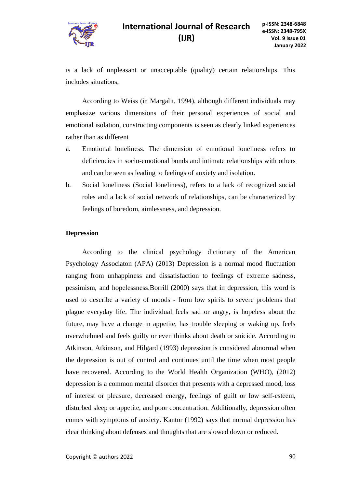

is a lack of unpleasant or unacceptable (quality) certain relationships. This includes situations,

According to Weiss (in Margalit, 1994), although different individuals may emphasize various dimensions of their personal experiences of social and emotional isolation, constructing components is seen as clearly linked experiences rather than as different

- a. Emotional loneliness. The dimension of emotional loneliness refers to deficiencies in socio-emotional bonds and intimate relationships with others and can be seen as leading to feelings of anxiety and isolation.
- b. Social loneliness (Social loneliness), refers to a lack of recognized social roles and a lack of social network of relationships, can be characterized by feelings of boredom, aimlessness, and depression.

### **Depression**

According to the clinical psychology dictionary of the American Psychology Associaton (APA) (2013) Depression is a normal mood fluctuation ranging from unhappiness and dissatisfaction to feelings of extreme sadness, pessimism, and hopelessness.Borrill (2000) says that in depression, this word is used to describe a variety of moods - from low spirits to severe problems that plague everyday life. The individual feels sad or angry, is hopeless about the future, may have a change in appetite, has trouble sleeping or waking up, feels overwhelmed and feels guilty or even thinks about death or suicide. According to Atkinson, Atkinson, and Hilgard (1993) depression is considered abnormal when the depression is out of control and continues until the time when most people have recovered. According to the World Health Organization (WHO), (2012) depression is a common mental disorder that presents with a depressed mood, loss of interest or pleasure, decreased energy, feelings of guilt or low self-esteem, disturbed sleep or appetite, and poor concentration. Additionally, depression often comes with symptoms of anxiety. Kantor (1992) says that normal depression has clear thinking about defenses and thoughts that are slowed down or reduced.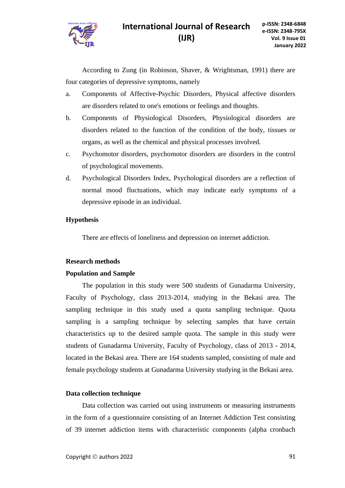

According to Zung (in Robinson, Shaver, & Wrightsman, 1991) there are four categories of depressive symptoms, namely

- a. Components of Affective-Psychic Disorders, Physical affective disorders are disorders related to one's emotions or feelings and thoughts.
- b. Components of Physiological Disorders, Physiological disorders are disorders related to the function of the condition of the body, tissues or organs, as well as the chemical and physical processes involved.
- c. Psychomotor disorders, psychomotor disorders are disorders in the control of psychological movements.
- d. Psychological Disorders Index, Psychological disorders are a reflection of normal mood fluctuations, which may indicate early symptoms of a depressive episode in an individual.

### **Hypothesis**

There are effects of loneliness and depression on internet addiction.

### **Research methods**

### **Population and Sample**

The population in this study were 500 students of Gunadarma University, Faculty of Psychology, class 2013-2014, studying in the Bekasi area. The sampling technique in this study used a quota sampling technique. Quota sampling is a sampling technique by selecting samples that have certain characteristics up to the desired sample quota. The sample in this study were students of Gunadarma University, Faculty of Psychology, class of 2013 - 2014, located in the Bekasi area. There are 164 students sampled, consisting of male and female psychology students at Gunadarma University studying in the Bekasi area.

### **Data collection technique**

Data collection was carried out using instruments or measuring instruments in the form of a questionnaire consisting of an Internet Addiction Test consisting of 39 internet addiction items with characteristic components (alpha cronbach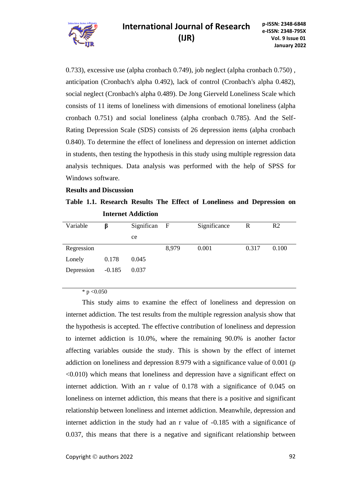

0.733), excessive use (alpha cronbach 0.749), job neglect (alpha cronbach 0.750) , anticipation (Cronbach's alpha 0.492), lack of control (Cronbach's alpha 0.482), social neglect (Cronbach's alpha 0.489). De Jong Gierveld Loneliness Scale which consists of 11 items of loneliness with dimensions of emotional loneliness (alpha cronbach 0.751) and social loneliness (alpha cronbach 0.785). And the Self-Rating Depression Scale (SDS) consists of 26 depression items (alpha cronbach 0.840). To determine the effect of loneliness and depression on internet addiction in students, then testing the hypothesis in this study using multiple regression data analysis techniques. Data analysis was performed with the help of SPSS for Windows software.

### **Results and Discussion**

**Table 1.1. Research Results The Effect of Loneliness and Depression on Internet Addiction**

| Variable   | ß        | Significan | $\mathbf{F}$ | Significance | R     | R <sub>2</sub> |
|------------|----------|------------|--------------|--------------|-------|----------------|
|            |          | ce         |              |              |       |                |
| Regression |          |            | 8,979        | 0.001        | 0.317 | 0.100          |
| Lonely     | 0.178    | 0.045      |              |              |       |                |
| Depression | $-0.185$ | 0.037      |              |              |       |                |
|            |          |            |              |              |       |                |

\* p  $< 0.050$ 

This study aims to examine the effect of loneliness and depression on internet addiction. The test results from the multiple regression analysis show that the hypothesis is accepted. The effective contribution of loneliness and depression to internet addiction is 10.0%, where the remaining 90.0% is another factor affecting variables outside the study. This is shown by the effect of internet addiction on loneliness and depression 8.979 with a significance value of 0.001 (p <0.010) which means that loneliness and depression have a significant effect on internet addiction. With an r value of 0.178 with a significance of 0.045 on loneliness on internet addiction, this means that there is a positive and significant relationship between loneliness and internet addiction. Meanwhile, depression and internet addiction in the study had an r value of -0.185 with a significance of 0.037, this means that there is a negative and significant relationship between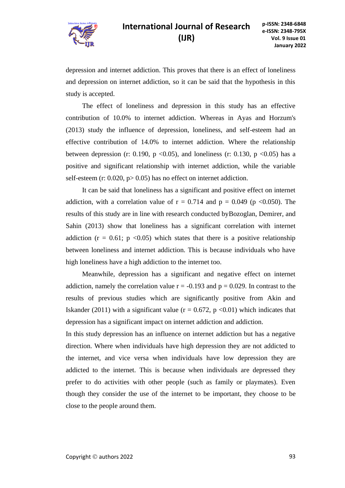

# **International Journal of Research p-ISSN: 2348-6848 (IJR)**

depression and internet addiction. This proves that there is an effect of loneliness and depression on internet addiction, so it can be said that the hypothesis in this study is accepted.

The effect of loneliness and depression in this study has an effective contribution of 10.0% to internet addiction. Whereas in Ayas and Horzum's (2013) study the influence of depression, loneliness, and self-esteem had an effective contribution of 14.0% to internet addiction. Where the relationship between depression (r: 0.190, p <0.05), and loneliness (r: 0.130, p <0.05) has a positive and significant relationship with internet addiction, while the variable self-esteem (r:  $0.020$ ,  $p > 0.05$ ) has no effect on internet addiction.

It can be said that loneliness has a significant and positive effect on internet addiction, with a correlation value of  $r = 0.714$  and  $p = 0.049$  (p <0.050). The results of this study are in line with research conducted byBozoglan, Demirer, and Sahin (2013) show that loneliness has a significant correlation with internet addiction ( $r = 0.61$ ; p <0.05) which states that there is a positive relationship between loneliness and internet addiction. This is because individuals who have high loneliness have a high addiction to the internet too.

Meanwhile, depression has a significant and negative effect on internet addiction, namely the correlation value  $r = -0.193$  and  $p = 0.029$ . In contrast to the results of previous studies which are significantly positive from Akin and Iskander (2011) with a significant value ( $r = 0.672$ ,  $p \le 0.01$ ) which indicates that depression has a significant impact on internet addiction and addiction.

In this study depression has an influence on internet addiction but has a negative direction. Where when individuals have high depression they are not addicted to the internet, and vice versa when individuals have low depression they are addicted to the internet. This is because when individuals are depressed they prefer to do activities with other people (such as family or playmates). Even though they consider the use of the internet to be important, they choose to be close to the people around them.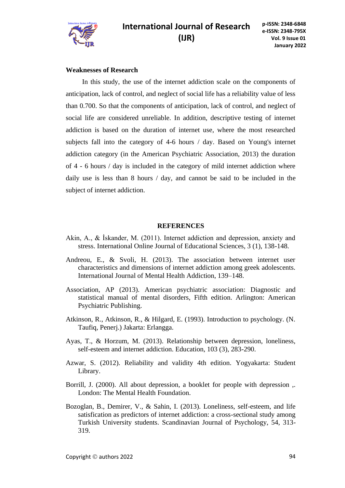

### **Weaknesses of Research**

In this study, the use of the internet addiction scale on the components of anticipation, lack of control, and neglect of social life has a reliability value of less than 0.700. So that the components of anticipation, lack of control, and neglect of social life are considered unreliable. In addition, descriptive testing of internet addiction is based on the duration of internet use, where the most researched subjects fall into the category of 4-6 hours / day. Based on Young's internet addiction category (in the American Psychiatric Association, 2013) the duration of 4 - 6 hours / day is included in the category of mild internet addiction where daily use is less than 8 hours / day, and cannot be said to be included in the subject of internet addiction.

### **REFERENCES**

- Akin, A., & İskander, M. (2011). Internet addiction and depression, anxiety and stress. International Online Journal of Educational Sciences, 3 (1), 138-148.
- Andreou, E., & Svoli, H. (2013). The association between internet user characteristics and dimensions of internet addiction among greek adolescents. International Journal of Mental Health Addiction, 139–148.
- Association, AP (2013). American psychiatric association: Diagnostic and statistical manual of mental disorders, Fifth edition. Arlington: American Psychiatric Publishing.
- Atkinson, R., Atkinson, R., & Hilgard, E. (1993). Introduction to psychology. (N. Taufiq, Penerj.) Jakarta: Erlangga.
- Ayas, T., & Horzum, M. (2013). Relationship between depression, loneliness, self-esteem and internet addiction. Education, 103 (3), 283-290.
- Azwar, S. (2012). Reliability and validity 4th edition. Yogyakarta: Student Library.
- Borrill, J. (2000). All about depression, a booklet for people with depression ,. London: The Mental Health Foundation.
- Bozoglan, B., Demirer, V., & Sahin, I. (2013). Loneliness, self-esteem, and life satisfication as predictors of internet addiction: a cross-sectional study among Turkish University students. Scandinavian Journal of Psychology, 54, 313- 319.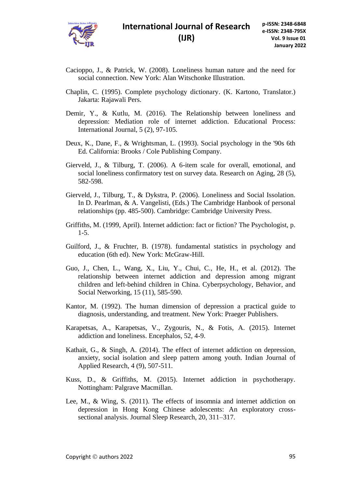

- Cacioppo, J., & Patrick, W. (2008). Loneliness human nature and the need for social connection. New York: Alan Witschonke Illustration.
- Chaplin, C. (1995). Complete psychology dictionary. (K. Kartono, Translator.) Jakarta: Rajawali Pers.
- Demir, Y., & Kutlu, M. (2016). The Relationship between loneliness and depression: Mediation role of internet addiction. Educational Process: International Journal, 5 (2), 97-105.
- Deux, K., Dane, F., & Wrightsman, L. (1993). Social psychology in the '90s 6th Ed. California: Brooks / Cole Publishing Company.
- Gierveld, J., & Tilburg, T. (2006). A 6-item scale for overall, emotional, and social loneliness confirmatory test on survey data. Research on Aging, 28 (5), 582-598.
- Gierveld, J., Tilburg, T., & Dykstra, P. (2006). Loneliness and Social Issolation. In D. Pearlman, & A. Vangelisti, (Eds.) The Cambridge Hanbook of personal relationships (pp. 485-500). Cambridge: Cambridge University Press.
- Griffiths, M. (1999, April). Internet addiction: fact or fiction? The Psychologist, p. 1-5.
- Guilford, J., & Fruchter, B. (1978). fundamental statistics in psychology and education (6th ed). New York: McGraw-Hill.
- Guo, J., Chen, L., Wang, X., Liu, Y., Chui, C., He, H., et al. (2012). The relationship between internet addiction and depression among migrant children and left-behind children in China. Cyberpsychology, Behavior, and Social Networking, 15 (11), 585-590.
- Kantor, M. (1992). The human dimension of depression a practical guide to diagnosis, understanding, and treatment. New York: Praeger Publishers.
- Karapetsas, A., Karapetsas, V., Zygouris, N., & Fotis, A. (2015). Internet addiction and loneliness. Encephalos, 52, 4-9.
- Kathait, G., & Singh, A. (2014). The effect of internet addiction on depression, anxiety, social isolation and sleep pattern among youth. Indian Journal of Applied Research, 4 (9), 507-511.
- Kuss, D., & Griffiths, M. (2015). Internet addiction in psychotherapy. Nottingham: Palgrave Macmillan.
- Lee, M., & Wing, S. (2011). The effects of insomnia and internet addiction on depression in Hong Kong Chinese adolescents: An exploratory crosssectional analysis. Journal Sleep Research, 20, 311–317.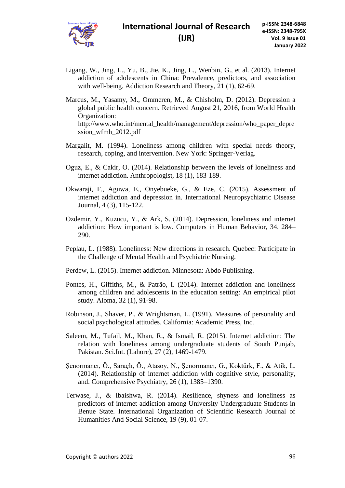

- Ligang, W., Jing, L., Yu, B., Jie, K., Jing, L., Wenbin, G., et al. (2013). Internet addiction of adolescents in China: Prevalence, predictors, and association with well-being. Addiction Research and Theory, 21 (1), 62-69.
- Marcus, M., Yasamy, M., Ommeren, M., & Chisholm, D. (2012). Depression a global public health concern. Retrieved August 21, 2016, from World Health Organization: http://www.who.int/mental\_health/management/depression/who\_paper\_depre ssion\_wfmh\_2012.pdf
- Margalit, M. (1994). Loneliness among children with special needs theory, research, coping, and intervention. New York: Springer-Verlag.
- Oguz, E., & Cakir, O. (2014). Relationship between the levels of loneliness and internet addiction. Anthropologist, 18 (1), 183-189.
- Okwaraji, F., Aguwa, E., Onyebueke, G., & Eze, C. (2015). Assessment of internet addiction and depression in. International Neuropsychiatric Disease Journal, 4 (3), 115-122.
- Ozdemir, Y., Kuzucu, Y., & Ark, S. (2014). Depression, loneliness and internet addiction: How important is low. Computers in Human Behavior, 34, 284– 290.
- Peplau, L. (1988). Loneliness: New directions in research. Quebec: Participate in the Challenge of Mental Health and Psychiatric Nursing.
- Perdew, L. (2015). Internet addiction. Minnesota: Abdo Publishing.
- Pontes, H., Giffiths, M., & Patrão, I. (2014). Internet addiction and loneliness among children and adolescents in the education setting: An empirical pilot study. Aloma, 32 (1), 91-98.
- Robinson, J., Shaver, P., & Wrightsman, L. (1991). Measures of personality and social psychological attitudes. California: Academic Press, Inc.
- Saleem, M., Tufail, M., Khan, R., & Ismail, R. (2015). Internet addiction: The relation with loneliness among undergraduate students of South Punjab, Pakistan. Sci.Int. (Lahore), 27 (2), 1469-1479.
- Şenormancı, Ö., Saraçlı, Ö., Atasoy, N., Şenormancı, G., Koktürk, F., & Atik, L. (2014). Relationship of internet addiction with cognitive style, personality, and. Comprehensive Psychiatry, 26 (1), 1385–1390.
- Terwase, J., & Ibaishwa, R. (2014). Resilience, shyness and loneliness as predictors of internet addiction among University Undergraduate Students in Benue State. International Organization of Scientific Research Journal of Humanities And Social Science, 19 (9), 01-07.